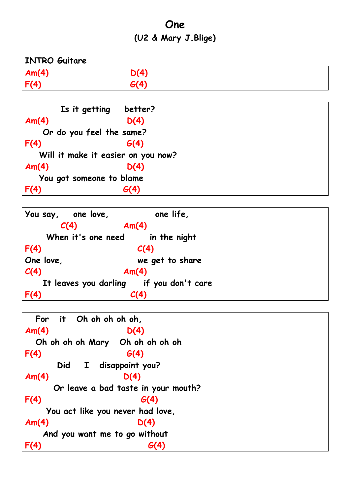## **One (U2 & Mary J.Blige)**

**INTRO Guitare Am(4) D(4) F(4) G(4)**

|                          | Is it getting better?    |                                    |  |  |
|--------------------------|--------------------------|------------------------------------|--|--|
| Am(4)                    |                          | D(4)                               |  |  |
|                          | Or do you feel the same? |                                    |  |  |
| F(4)                     |                          | G(4)                               |  |  |
|                          |                          | Will it make it easier on you now? |  |  |
| Am(4)                    |                          | D(4)                               |  |  |
| You got someone to blame |                          |                                    |  |  |
|                          |                          |                                    |  |  |

|                                         | You say, one love, | one life,                       |  |  |
|-----------------------------------------|--------------------|---------------------------------|--|--|
|                                         | C(4)               | Am(4)                           |  |  |
|                                         |                    | When it's one need in the night |  |  |
| F(4)                                    |                    | C(4)                            |  |  |
| One love,                               |                    | we get to share                 |  |  |
| C(4)                                    |                    | Am(4)                           |  |  |
| It leaves you darling if you don't care |                    |                                 |  |  |
| F(4)                                    |                    | C(4)                            |  |  |

```
 For it Oh oh oh oh oh, 
Am(4) D(4) 
  Oh oh oh oh Mary Oh oh oh oh oh
F(4) G(4)
      Did I disappoint you? 
Am(4) D(4) 
     Or leave a bad taste in your mouth?
F(4) G(4)
    You act like you never had love, 
Am(4) D(4) 
   And you want me to go without
F(4) G(4)
```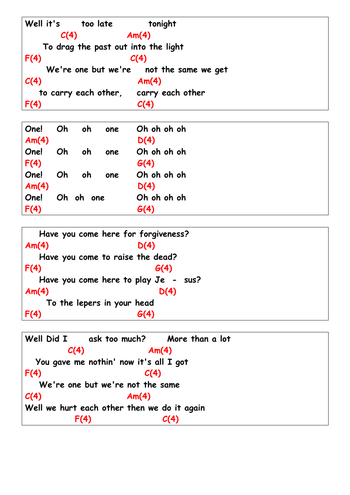

| One!<br>Am(4) | Oh | oh        | one | Oh oh oh oh<br>D(4) |  |
|---------------|----|-----------|-----|---------------------|--|
|               |    |           |     |                     |  |
| One!          | Oh | oh        | one | Oh oh oh oh         |  |
| F(4)          |    |           |     | G(4)                |  |
| One!          | Oh | oh        | one | Oh oh oh oh         |  |
| Am(4)         |    |           |     | D(4)                |  |
| One!          |    | Oh oh one |     | Oh oh oh oh         |  |
| F(4)          |    |           |     | G(4)                |  |

```
 Have you come here for forgiveness? 
Am(4) D(4) 
   Have you come to raise the dead?
F(4) G(4)
   Have you come here to play Je - sus?
Am(4) D(4) 
    To the lepers in your head
F(4) G(4)
```
**Well Did I ask too much? More than a lot C(4) Am(4) You gave me nothin' now it's all I got F(4) C(4) We're one but we're not the same C(4) Am(4) Well we hurt each other then we do it again F(4) C(4)**